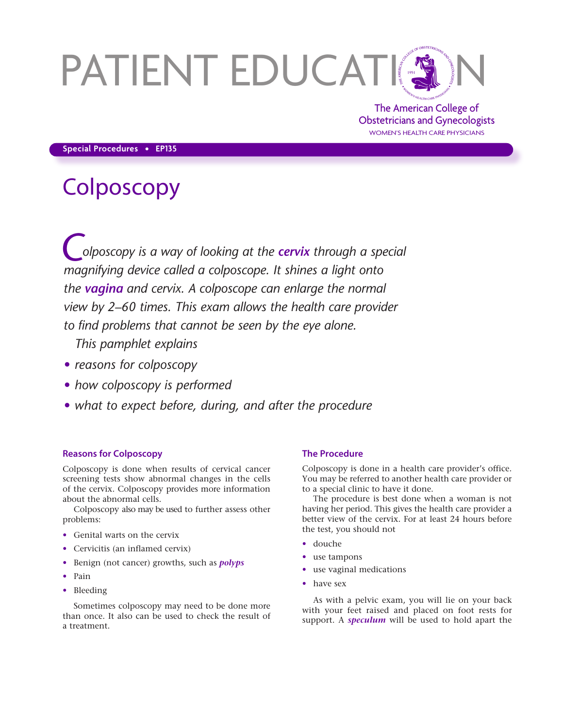# PATIENT EDUCATION

The American College of Obstetricians and Gynecologists WOMEN'S HEALTH CARE PHYSICIANS

# **Special Procedures • EP135**

# **Colposcopy**

*Colposcopy is a way of looking at the cervix through a special magnifying device called a colposcope. It shines a light onto the vagina and cervix. A colposcope can enlarge the normal view by 2–60 times. This exam allows the health care provider to find problems that cannot be seen by the eye alone.* 

*This pamphlet explains*

- *• reasons for colposcopy*
- *• how colposcopy is performed*
- *• what to expect before, during, and after the procedure*

# **Reasons for Colposcopy**

Colposcopy is done when results of cervical cancer screening tests show abnormal changes in the cells of the cervix. Colposcopy provides more information about the abnormal cells.

Colposcopy also may be used to further assess other problems:

- Genital warts on the cervix
- Cervicitis (an inflamed cervix)
- Benign (not cancer) growths, such as *polyps*
- Pain
- Bleeding

Sometimes colposcopy may need to be done more than once. It also can be used to check the result of a treatment.

### **The Procedure**

Colposcopy is done in a health care provider's office. You may be referred to another health care provider or to a special clinic to have it done.

The procedure is best done when a woman is not having her period. This gives the health care provider a better view of the cervix. For at least 24 hours before the test, you should not

- douche
- use tampons
- use vaginal medications
- have sex

As with a pelvic exam, you will lie on your back with your feet raised and placed on foot rests for support. A *speculum* will be used to hold apart the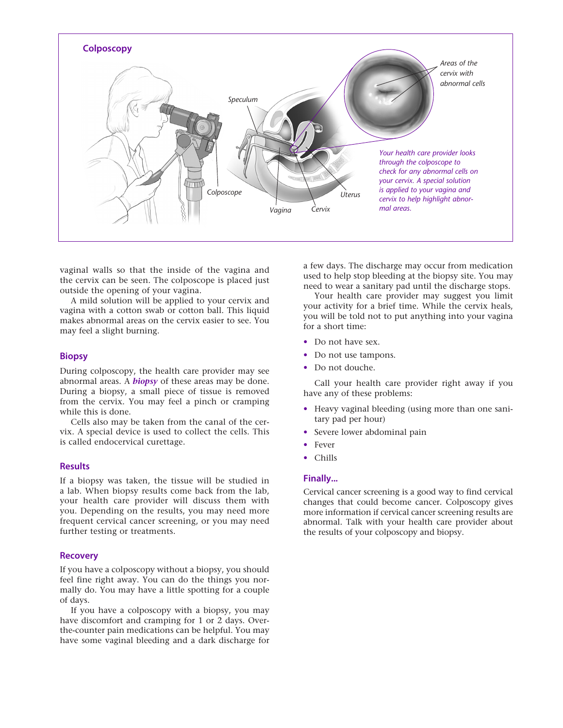

vaginal walls so that the inside of the vagina and the cervix can be seen. The colposcope is placed just outside the opening of your vagina.

A mild solution will be applied to your cervix and vagina with a cotton swab or cotton ball. This liquid makes abnormal areas on the cervix easier to see. You may feel a slight burning.

# **Biopsy**

During colposcopy, the health care provider may see abnormal areas. A *biopsy* of these areas may be done. During a biopsy, a small piece of tissue is removed from the cervix. You may feel a pinch or cramping while this is done.

Cells also may be taken from the canal of the cervix. A special device is used to collect the cells. This is called endocervical curettage.

# **Results**

If a biopsy was taken, the tissue will be studied in a lab. When biopsy results come back from the lab, your health care provider will discuss them with you. Depending on the results, you may need more frequent cervical cancer screening, or you may need further testing or treatments.

#### **Recovery**

If you have a colposcopy without a biopsy, you should feel fine right away. You can do the things you normally do. You may have a little spotting for a couple of days.

If you have a colposcopy with a biopsy, you may have discomfort and cramping for 1 or 2 days. Overthe-counter pain medications can be helpful. You may have some vaginal bleeding and a dark discharge for a few days. The discharge may occur from medication used to help stop bleeding at the biopsy site. You may need to wear a sanitary pad until the discharge stops.

Your health care provider may suggest you limit your activity for a brief time. While the cervix heals, you will be told not to put anything into your vagina for a short time:

- Do not have sex.
- Do not use tampons.
- Do not douche.

Call your health care provider right away if you have any of these problems:

- Heavy vaginal bleeding (using more than one sanitary pad per hour)
- Severe lower abdominal pain
- Fever
- Chills

# **Finally...**

Cervical cancer screening is a good way to find cervical changes that could become cancer. Colposcopy gives more information if cervical cancer screening results are abnormal. Talk with your health care provider about the results of your colposcopy and biopsy.